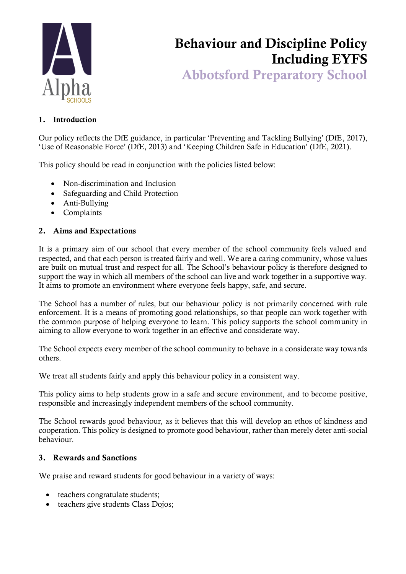

# Behaviour and Discipline Policy Including EYFS

Abbotsford Preparatory School

#### 1. Introduction

Our policy reflects the DfE guidance, in particular 'Preventing and Tackling Bullying' (DfE, 2017), 'Use of Reasonable Force' (DfE, 2013) and 'Keeping Children Safe in Education' (DfE, 2021).

This policy should be read in conjunction with the policies listed below:

- Non-discrimination and Inclusion
- Safeguarding and Child Protection
- Anti-Bullying
- Complaints

## 2. Aims and Expectations

It is a primary aim of our school that every member of the school community feels valued and respected, and that each person is treated fairly and well. We are a caring community, whose values are built on mutual trust and respect for all. The School's behaviour policy is therefore designed to support the way in which all members of the school can live and work together in a supportive way. It aims to promote an environment where everyone feels happy, safe, and secure.

The School has a number of rules, but our behaviour policy is not primarily concerned with rule enforcement. It is a means of promoting good relationships, so that people can work together with the common purpose of helping everyone to learn. This policy supports the school community in aiming to allow everyone to work together in an effective and considerate way.

The School expects every member of the school community to behave in a considerate way towards others.

We treat all students fairly and apply this behaviour policy in a consistent way.

This policy aims to help students grow in a safe and secure environment, and to become positive, responsible and increasingly independent members of the school community.

The School rewards good behaviour, as it believes that this will develop an ethos of kindness and cooperation. This policy is designed to promote good behaviour, rather than merely deter anti-social behaviour.

#### 3. Rewards and Sanctions

We praise and reward students for good behaviour in a variety of ways:

- teachers congratulate students;
- teachers give students Class Dojos;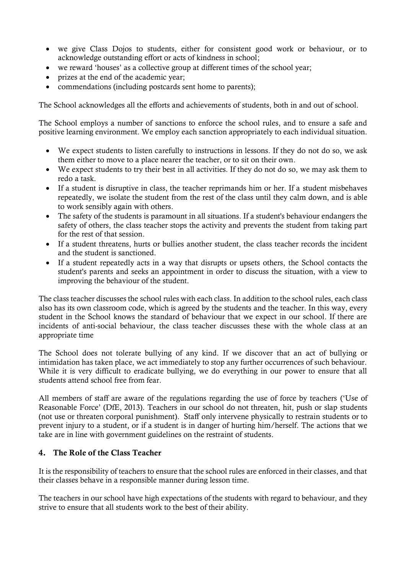- we give Class Dojos to students, either for consistent good work or behaviour, or to acknowledge outstanding effort or acts of kindness in school;
- we reward 'houses' as a collective group at different times of the school year;
- prizes at the end of the academic year;
- commendations (including postcards sent home to parents);

The School acknowledges all the efforts and achievements of students, both in and out of school.

The School employs a number of sanctions to enforce the school rules, and to ensure a safe and positive learning environment. We employ each sanction appropriately to each individual situation.

- We expect students to listen carefully to instructions in lessons. If they do not do so, we ask them either to move to a place nearer the teacher, or to sit on their own.
- We expect students to try their best in all activities. If they do not do so, we may ask them to redo a task.
- If a student is disruptive in class, the teacher reprimands him or her. If a student misbehaves repeatedly, we isolate the student from the rest of the class until they calm down, and is able to work sensibly again with others.
- The safety of the students is paramount in all situations. If a student's behaviour endangers the safety of others, the class teacher stops the activity and prevents the student from taking part for the rest of that session.
- If a student threatens, hurts or bullies another student, the class teacher records the incident and the student is sanctioned.
- If a student repeatedly acts in a way that disrupts or upsets others, the School contacts the student's parents and seeks an appointment in order to discuss the situation, with a view to improving the behaviour of the student.

The class teacher discusses the school rules with each class. In addition to the school rules, each class also has its own classroom code, which is agreed by the students and the teacher. In this way, every student in the School knows the standard of behaviour that we expect in our school. If there are incidents of anti-social behaviour, the class teacher discusses these with the whole class at an appropriate time

The School does not tolerate bullying of any kind. If we discover that an act of bullying or intimidation has taken place, we act immediately to stop any further occurrences of such behaviour. While it is very difficult to eradicate bullying, we do everything in our power to ensure that all students attend school free from fear.

All members of staff are aware of the regulations regarding the use of force by teachers ('Use of Reasonable Force' (DfE, 2013). Teachers in our school do not threaten, hit, push or slap students (not use or threaten corporal punishment). Staff only intervene physically to restrain students or to prevent injury to a student, or if a student is in danger of hurting him/herself. The actions that we take are in line with government guidelines on the restraint of students.

#### 4. The Role of the Class Teacher

It is the responsibility of teachers to ensure that the school rules are enforced in their classes, and that their classes behave in a responsible manner during lesson time.

The teachers in our school have high expectations of the students with regard to behaviour, and they strive to ensure that all students work to the best of their ability.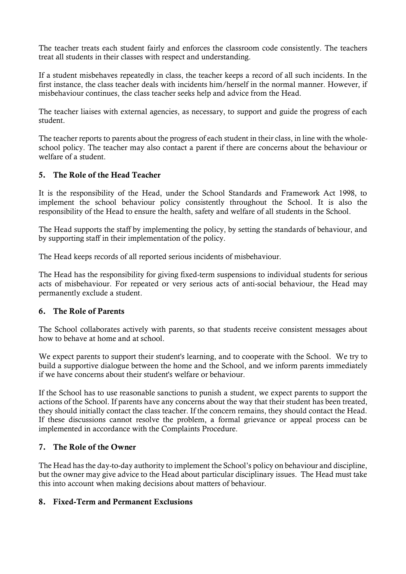The teacher treats each student fairly and enforces the classroom code consistently. The teachers treat all students in their classes with respect and understanding.

If a student misbehaves repeatedly in class, the teacher keeps a record of all such incidents. In the first instance, the class teacher deals with incidents him/herself in the normal manner. However, if misbehaviour continues, the class teacher seeks help and advice from the Head.

The teacher liaises with external agencies, as necessary, to support and guide the progress of each student.

The teacher reports to parents about the progress of each student in their class, in line with the wholeschool policy. The teacher may also contact a parent if there are concerns about the behaviour or welfare of a student.

### 5. The Role of the Head Teacher

It is the responsibility of the Head, under the School Standards and Framework Act 1998, to implement the school behaviour policy consistently throughout the School. It is also the responsibility of the Head to ensure the health, safety and welfare of all students in the School.

The Head supports the staff by implementing the policy, by setting the standards of behaviour, and by supporting staff in their implementation of the policy.

The Head keeps records of all reported serious incidents of misbehaviour.

The Head has the responsibility for giving fixed-term suspensions to individual students for serious acts of misbehaviour. For repeated or very serious acts of anti-social behaviour, the Head may permanently exclude a student.

#### 6. The Role of Parents

The School collaborates actively with parents, so that students receive consistent messages about how to behave at home and at school.

We expect parents to support their student's learning, and to cooperate with the School. We try to build a supportive dialogue between the home and the School, and we inform parents immediately if we have concerns about their student's welfare or behaviour.

If the School has to use reasonable sanctions to punish a student, we expect parents to support the actions of the School. If parents have any concerns about the way that their student has been treated, they should initially contact the class teacher. If the concern remains, they should contact the Head. If these discussions cannot resolve the problem, a formal grievance or appeal process can be implemented in accordance with the Complaints Procedure.

#### 7. The Role of the Owner

The Head has the day-to-day authority to implement the School's policy on behaviour and discipline, but the owner may give advice to the Head about particular disciplinary issues. The Head must take this into account when making decisions about matters of behaviour.

#### 8. Fixed-Term and Permanent Exclusions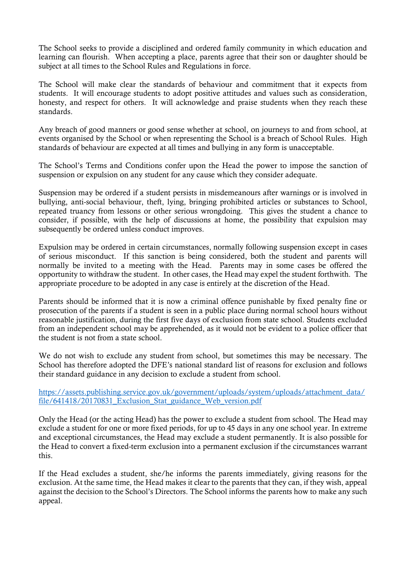The School seeks to provide a disciplined and ordered family community in which education and learning can flourish. When accepting a place, parents agree that their son or daughter should be subject at all times to the School Rules and Regulations in force.

The School will make clear the standards of behaviour and commitment that it expects from students. It will encourage students to adopt positive attitudes and values such as consideration, honesty, and respect for others. It will acknowledge and praise students when they reach these standards.

Any breach of good manners or good sense whether at school, on journeys to and from school, at events organised by the School or when representing the School is a breach of School Rules. High standards of behaviour are expected at all times and bullying in any form is unacceptable.

The School's Terms and Conditions confer upon the Head the power to impose the sanction of suspension or expulsion on any student for any cause which they consider adequate.

Suspension may be ordered if a student persists in misdemeanours after warnings or is involved in bullying, anti-social behaviour, theft, lying, bringing prohibited articles or substances to School, repeated truancy from lessons or other serious wrongdoing. This gives the student a chance to consider, if possible, with the help of discussions at home, the possibility that expulsion may subsequently be ordered unless conduct improves.

Expulsion may be ordered in certain circumstances, normally following suspension except in cases of serious misconduct. If this sanction is being considered, both the student and parents will normally be invited to a meeting with the Head. Parents may in some cases be offered the opportunity to withdraw the student. In other cases, the Head may expel the student forthwith. The appropriate procedure to be adopted in any case is entirely at the discretion of the Head.

Parents should be informed that it is now a criminal offence punishable by fixed penalty fine or prosecution of the parents if a student is seen in a public place during normal school hours without reasonable justification, during the first five days of exclusion from state school. Students excluded from an independent school may be apprehended, as it would not be evident to a police officer that the student is not from a state school.

We do not wish to exclude any student from school, but sometimes this may be necessary. The School has therefore adopted the DFE's national standard list of reasons for exclusion and follows their standard guidance in any decision to exclude a student from school.

[https://assets.publishing.service.gov.uk/government/uploads/system/uploads/attachment\\_data/](https://assets.publishing.service.gov.uk/government/uploads/system/uploads/attachment_data/file/641418/20170831_Exclusion_Stat_guidance_Web_version.pdf) [file/641418/20170831\\_Exclusion\\_Stat\\_guidance\\_Web\\_version.pdf](https://assets.publishing.service.gov.uk/government/uploads/system/uploads/attachment_data/file/641418/20170831_Exclusion_Stat_guidance_Web_version.pdf)

Only the Head (or the acting Head) has the power to exclude a student from school. The Head may exclude a student for one or more fixed periods, for up to 45 days in any one school year. In extreme and exceptional circumstances, the Head may exclude a student permanently. It is also possible for the Head to convert a fixed-term exclusion into a permanent exclusion if the circumstances warrant this.

If the Head excludes a student, she/he informs the parents immediately, giving reasons for the exclusion. At the same time, the Head makes it clear to the parents that they can, if they wish, appeal against the decision to the School's Directors. The School informs the parents how to make any such appeal.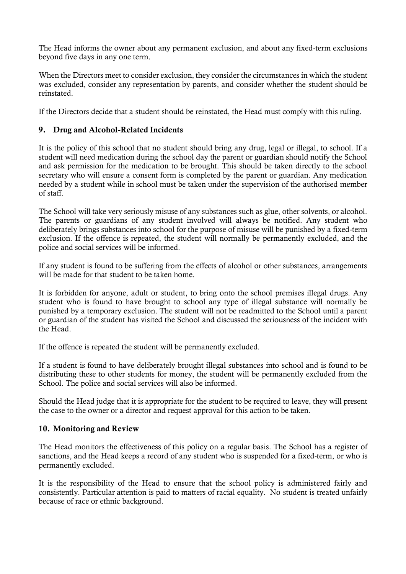The Head informs the owner about any permanent exclusion, and about any fixed-term exclusions beyond five days in any one term.

When the Directors meet to consider exclusion, they consider the circumstances in which the student was excluded, consider any representation by parents, and consider whether the student should be reinstated.

If the Directors decide that a student should be reinstated, the Head must comply with this ruling.

#### 9. Drug and Alcohol-Related Incidents

It is the policy of this school that no student should bring any drug, legal or illegal, to school. If a student will need medication during the school day the parent or guardian should notify the School and ask permission for the medication to be brought. This should be taken directly to the school secretary who will ensure a consent form is completed by the parent or guardian. Any medication needed by a student while in school must be taken under the supervision of the authorised member of staff.

The School will take very seriously misuse of any substances such as glue, other solvents, or alcohol. The parents or guardians of any student involved will always be notified. Any student who deliberately brings substances into school for the purpose of misuse will be punished by a fixed-term exclusion. If the offence is repeated, the student will normally be permanently excluded, and the police and social services will be informed.

If any student is found to be suffering from the effects of alcohol or other substances, arrangements will be made for that student to be taken home.

It is forbidden for anyone, adult or student, to bring onto the school premises illegal drugs. Any student who is found to have brought to school any type of illegal substance will normally be punished by a temporary exclusion. The student will not be readmitted to the School until a parent or guardian of the student has visited the School and discussed the seriousness of the incident with the Head.

If the offence is repeated the student will be permanently excluded.

If a student is found to have deliberately brought illegal substances into school and is found to be distributing these to other students for money, the student will be permanently excluded from the School. The police and social services will also be informed.

Should the Head judge that it is appropriate for the student to be required to leave, they will present the case to the owner or a director and request approval for this action to be taken.

#### 10. Monitoring and Review

The Head monitors the effectiveness of this policy on a regular basis. The School has a register of sanctions, and the Head keeps a record of any student who is suspended for a fixed-term, or who is permanently excluded.

It is the responsibility of the Head to ensure that the school policy is administered fairly and consistently. Particular attention is paid to matters of racial equality. No student is treated unfairly because of race or ethnic background.